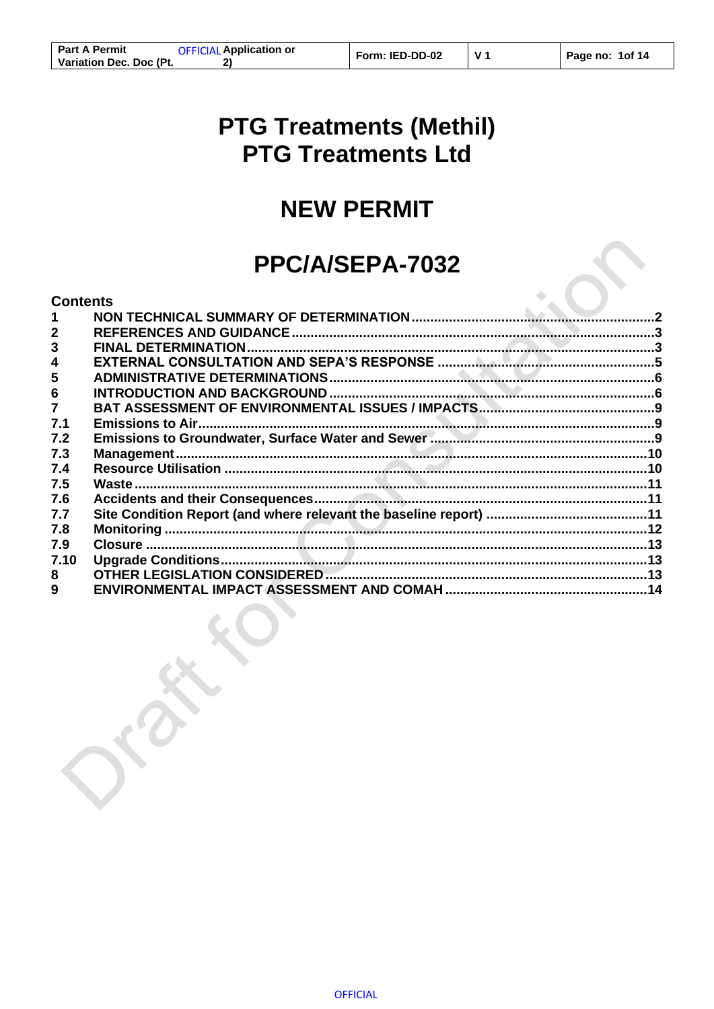$V<sub>1</sub>$ 

# **PTG Treatments (Methil) PTG Treatments Ltd**

# **NEW PERMIT**

# PPC/A/SEPA-7032

# **Contents**

| 3              |  |
|----------------|--|
| 4              |  |
| 5              |  |
| 6              |  |
| $\overline{7}$ |  |
| 7.1            |  |
| 7.2            |  |
| 7.3            |  |
| 7.4            |  |
| 7.5            |  |
| 7.6            |  |
| 7.7            |  |
| 7.8            |  |
| 7.9            |  |
| 7.10           |  |
| 8              |  |
| 9              |  |
|                |  |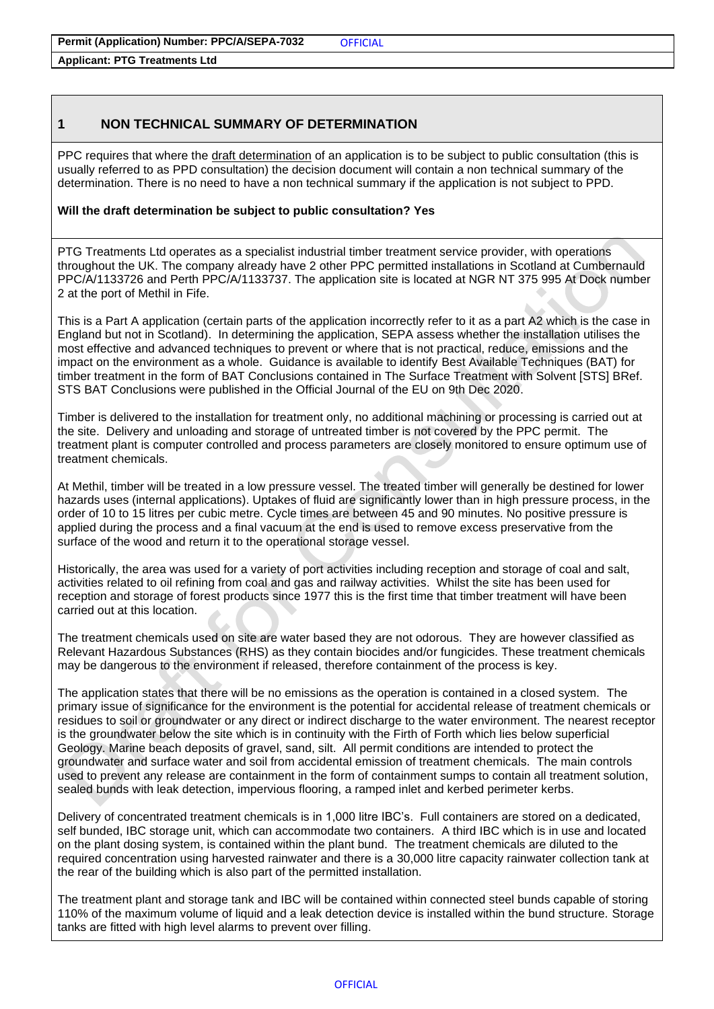**Applicant: PTG Treatments Ltd**

# <span id="page-1-0"></span>**1 NON TECHNICAL SUMMARY OF DETERMINATION**

PPC requires that where the draft determination of an application is to be subject to public consultation (this is usually referred to as PPD consultation) the decision document will contain a non technical summary of the determination. There is no need to have a non technical summary if the application is not subject to PPD.

#### **Will the draft determination be subject to public consultation? Yes**

PTG Treatments Ltd operates as a specialist industrial timber treatment service provider, with operations throughout the UK. The company already have 2 other PPC permitted installations in Scotland at Cumbernauld PPC/A/1133726 and Perth PPC/A/1133737. The application site is located at NGR NT 375 995 At Dock number 2 at the port of Methil in Fife.

This is a Part A application (certain parts of the application incorrectly refer to it as a part A2 which is the case in England but not in Scotland). In determining the application, SEPA assess whether the installation utilises the most effective and advanced techniques to prevent or where that is not practical, reduce, emissions and the impact on the environment as a whole. Guidance is available to identify Best Available Techniques (BAT) for timber treatment in the form of BAT Conclusions contained in The Surface Treatment with Solvent [STS] BRef. STS BAT Conclusions were published in the Official Journal of the EU on 9th Dec 2020.

Timber is delivered to the installation for treatment only, no additional machining or processing is carried out at the site. Delivery and unloading and storage of untreated timber is not covered by the PPC permit. The treatment plant is computer controlled and process parameters are closely monitored to ensure optimum use of treatment chemicals.

At Methil, timber will be treated in a low pressure vessel. The treated timber will generally be destined for lower hazards uses (internal applications). Uptakes of fluid are significantly lower than in high pressure process, in the order of 10 to 15 litres per cubic metre. Cycle times are between 45 and 90 minutes. No positive pressure is applied during the process and a final vacuum at the end is used to remove excess preservative from the surface of the wood and return it to the operational storage vessel.

Historically, the area was used for a variety of port activities including reception and storage of coal and salt, activities related to oil refining from coal and gas and railway activities. Whilst the site has been used for reception and storage of forest products since 1977 this is the first time that timber treatment will have been carried out at this location.

The treatment chemicals used on site are water based they are not odorous. They are however classified as Relevant Hazardous Substances (RHS) as they contain biocides and/or fungicides. These treatment chemicals may be dangerous to the environment if released, therefore containment of the process is key.

The application states that there will be no emissions as the operation is contained in a closed system. The primary issue of significance for the environment is the potential for accidental release of treatment chemicals or residues to soil or groundwater or any direct or indirect discharge to the water environment. The nearest receptor is the groundwater below the site which is in continuity with the Firth of Forth which lies below superficial Geology. Marine beach deposits of gravel, sand, silt. All permit conditions are intended to protect the groundwater and surface water and soil from accidental emission of treatment chemicals. The main controls used to prevent any release are containment in the form of containment sumps to contain all treatment solution, sealed bunds with leak detection, impervious flooring, a ramped inlet and kerbed perimeter kerbs.

Delivery of concentrated treatment chemicals is in 1,000 litre IBC's. Full containers are stored on a dedicated, self bunded, IBC storage unit, which can accommodate two containers. A third IBC which is in use and located on the plant dosing system, is contained within the plant bund. The treatment chemicals are diluted to the required concentration using harvested rainwater and there is a 30,000 litre capacity rainwater collection tank at the rear of the building which is also part of the permitted installation.

The treatment plant and storage tank and IBC will be contained within connected steel bunds capable of storing 110% of the maximum volume of liquid and a leak detection device is installed within the bund structure. Storage tanks are fitted with high level alarms to prevent over filling.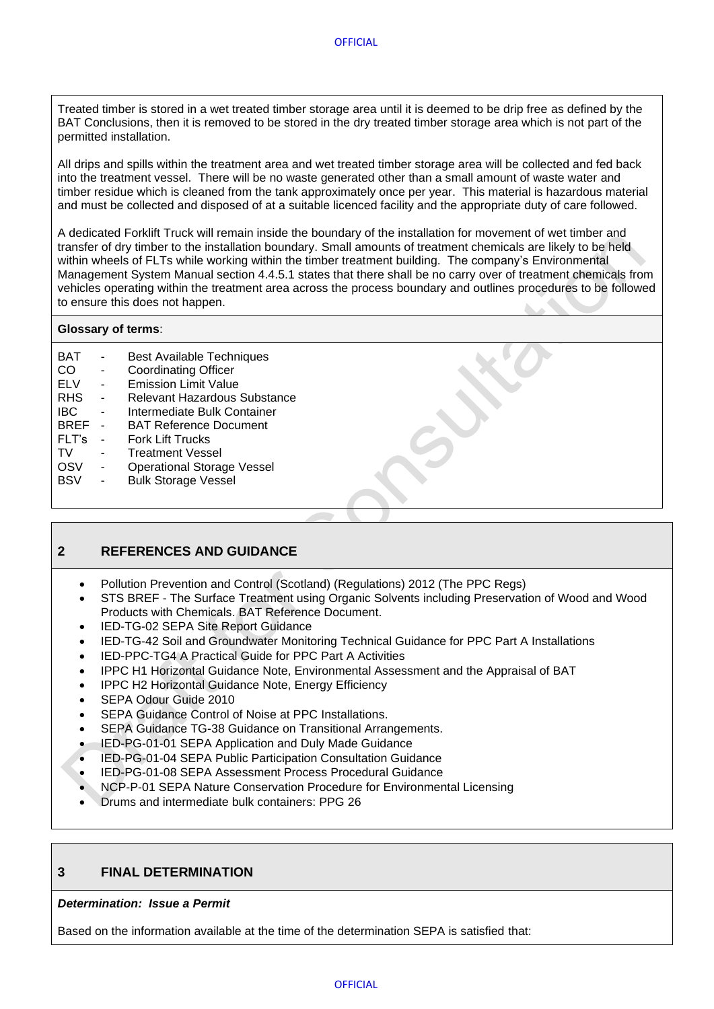Treated timber is stored in a wet treated timber storage area until it is deemed to be drip free as defined by the BAT Conclusions, then it is removed to be stored in the dry treated timber storage area which is not part of the permitted installation.

All drips and spills within the treatment area and wet treated timber storage area will be collected and fed back into the treatment vessel. There will be no waste generated other than a small amount of waste water and timber residue which is cleaned from the tank approximately once per year. This material is hazardous material and must be collected and disposed of at a suitable licenced facility and the appropriate duty of care followed.

A dedicated Forklift Truck will remain inside the boundary of the installation for movement of wet timber and transfer of dry timber to the installation boundary. Small amounts of treatment chemicals are likely to be held within wheels of FLTs while working within the timber treatment building. The company's Environmental Management System Manual section 4.4.5.1 states that there shall be no carry over of treatment chemicals from vehicles operating within the treatment area across the process boundary and outlines procedures to be followed to ensure this does not happen.

#### **Glossary of terms**:

| BAT         | <b>Best Available Techniques</b>  |
|-------------|-----------------------------------|
| CO          | <b>Coordinating Officer</b>       |
| <b>ELV</b>  | <b>Emission Limit Value</b>       |
| <b>RHS</b>  | Relevant Hazardous Substance      |
| <b>IBC</b>  | Intermediate Bulk Container       |
| <b>BREF</b> | <b>BAT Reference Document</b>     |
| FLT's       | <b>Fork Lift Trucks</b>           |
| TV          | <b>Treatment Vessel</b>           |
| OSV         | <b>Operational Storage Vessel</b> |
| <b>BSV</b>  | <b>Bulk Storage Vessel</b>        |

# <span id="page-2-0"></span>**2 REFERENCES AND GUIDANCE**

- Pollution Prevention and Control (Scotland) (Regulations) 2012 (The PPC Regs)
- STS BREF The Surface Treatment using Organic Solvents including Preservation of Wood and Wood Products with Chemicals. BAT Reference Document.
- IED-TG-02 SEPA Site Report Guidance
- IED-TG-42 Soil and Groundwater Monitoring Technical Guidance for PPC Part A Installations
- IED-PPC-TG4 A Practical Guide for PPC Part A Activities
- IPPC H1 Horizontal Guidance Note, Environmental Assessment and the Appraisal of BAT
- IPPC H2 Horizontal Guidance Note, Energy Efficiency
- SEPA Odour Guide 2010
- SEPA Guidance Control of Noise at PPC Installations.
- SEPA Guidance TG-38 Guidance on Transitional Arrangements.
- IED-PG-01-01 SEPA Application and Duly Made Guidance
- IED-PG-01-04 SEPA Public Participation Consultation Guidance
- IED-PG-01-08 SEPA Assessment Process Procedural Guidance
- NCP-P-01 SEPA Nature Conservation Procedure for Environmental Licensing
- Drums and intermediate bulk containers: PPG 26

## <span id="page-2-1"></span>**3 FINAL DETERMINATION**

#### *Determination: Issue a Permit*

Based on the information available at the time of the determination SEPA is satisfied that: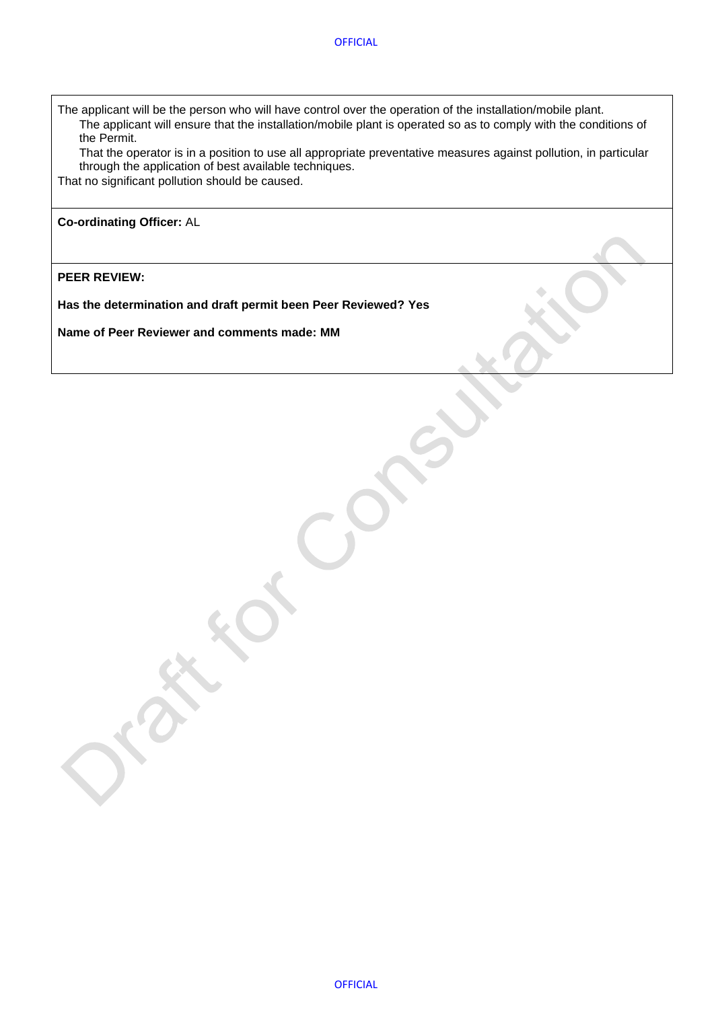• The applicant will be the person who will have control over the operation of the installation/mobile plant. • The applicant will ensure that the installation/mobile plant is operated so as to comply with the conditions of the Permit.

• That the operator is in a position to use all appropriate preventative measures against pollution, in particular through the application of best available techniques.

That no significant pollution should be caused.

**Co-ordinating Officer:** AL

**PEER REVIEW:**

**Has the determination and draft permit been Peer Reviewed? Yes**

**Name of Peer Reviewer and comments made: MM**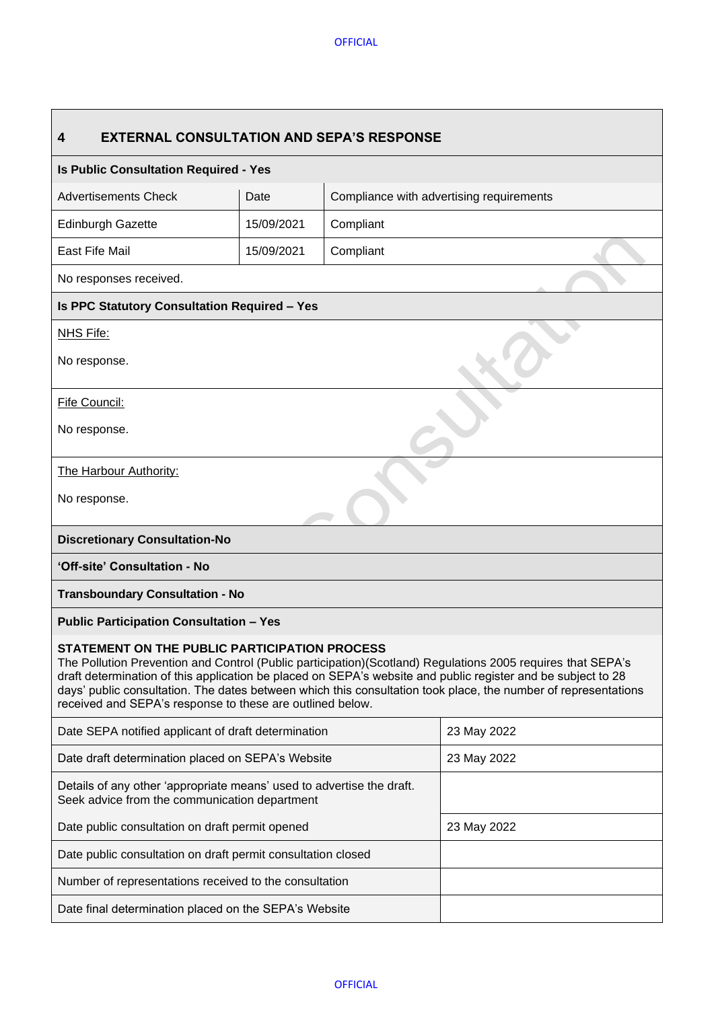<span id="page-4-0"></span>

| <b>EXTERNAL CONSULTATION AND SEPA'S RESPONSE</b><br>4                                                                                                                                                                                                                                                                                                                                                                                                       |             |                                          |  |  |  |  |  |
|-------------------------------------------------------------------------------------------------------------------------------------------------------------------------------------------------------------------------------------------------------------------------------------------------------------------------------------------------------------------------------------------------------------------------------------------------------------|-------------|------------------------------------------|--|--|--|--|--|
| <b>Is Public Consultation Required - Yes</b>                                                                                                                                                                                                                                                                                                                                                                                                                |             |                                          |  |  |  |  |  |
| <b>Advertisements Check</b>                                                                                                                                                                                                                                                                                                                                                                                                                                 | Date        | Compliance with advertising requirements |  |  |  |  |  |
| <b>Edinburgh Gazette</b>                                                                                                                                                                                                                                                                                                                                                                                                                                    | 15/09/2021  | Compliant                                |  |  |  |  |  |
| East Fife Mail                                                                                                                                                                                                                                                                                                                                                                                                                                              | 15/09/2021  | Compliant                                |  |  |  |  |  |
| No responses received.                                                                                                                                                                                                                                                                                                                                                                                                                                      |             |                                          |  |  |  |  |  |
| <b>Is PPC Statutory Consultation Required - Yes</b>                                                                                                                                                                                                                                                                                                                                                                                                         |             |                                          |  |  |  |  |  |
| NHS Fife:                                                                                                                                                                                                                                                                                                                                                                                                                                                   |             |                                          |  |  |  |  |  |
| No response.                                                                                                                                                                                                                                                                                                                                                                                                                                                |             |                                          |  |  |  |  |  |
| Fife Council:                                                                                                                                                                                                                                                                                                                                                                                                                                               |             |                                          |  |  |  |  |  |
| No response.                                                                                                                                                                                                                                                                                                                                                                                                                                                |             |                                          |  |  |  |  |  |
| The Harbour Authority:                                                                                                                                                                                                                                                                                                                                                                                                                                      |             |                                          |  |  |  |  |  |
| No response.                                                                                                                                                                                                                                                                                                                                                                                                                                                |             |                                          |  |  |  |  |  |
| <b>Discretionary Consultation-No</b>                                                                                                                                                                                                                                                                                                                                                                                                                        |             |                                          |  |  |  |  |  |
| 'Off-site' Consultation - No                                                                                                                                                                                                                                                                                                                                                                                                                                |             |                                          |  |  |  |  |  |
| <b>Transboundary Consultation - No</b>                                                                                                                                                                                                                                                                                                                                                                                                                      |             |                                          |  |  |  |  |  |
| <b>Public Participation Consultation - Yes</b>                                                                                                                                                                                                                                                                                                                                                                                                              |             |                                          |  |  |  |  |  |
| STATEMENT ON THE PUBLIC PARTICIPATION PROCESS<br>The Pollution Prevention and Control (Public participation)(Scotland) Regulations 2005 requires that SEPA's<br>draft determination of this application be placed on SEPA's website and public register and be subject to 28<br>days' public consultation. The dates between which this consultation took place, the number of representations<br>received and SEPA's response to these are outlined below. |             |                                          |  |  |  |  |  |
| Date SEPA notified applicant of draft determination                                                                                                                                                                                                                                                                                                                                                                                                         | 23 May 2022 |                                          |  |  |  |  |  |
| Date draft determination placed on SEPA's Website                                                                                                                                                                                                                                                                                                                                                                                                           | 23 May 2022 |                                          |  |  |  |  |  |
| Details of any other 'appropriate means' used to advertise the draft.<br>Seek advice from the communication department                                                                                                                                                                                                                                                                                                                                      |             |                                          |  |  |  |  |  |
| Date public consultation on draft permit opened                                                                                                                                                                                                                                                                                                                                                                                                             | 23 May 2022 |                                          |  |  |  |  |  |
| Date public consultation on draft permit consultation closed                                                                                                                                                                                                                                                                                                                                                                                                |             |                                          |  |  |  |  |  |
| Number of representations received to the consultation                                                                                                                                                                                                                                                                                                                                                                                                      |             |                                          |  |  |  |  |  |
| Date final determination placed on the SEPA's Website                                                                                                                                                                                                                                                                                                                                                                                                       |             |                                          |  |  |  |  |  |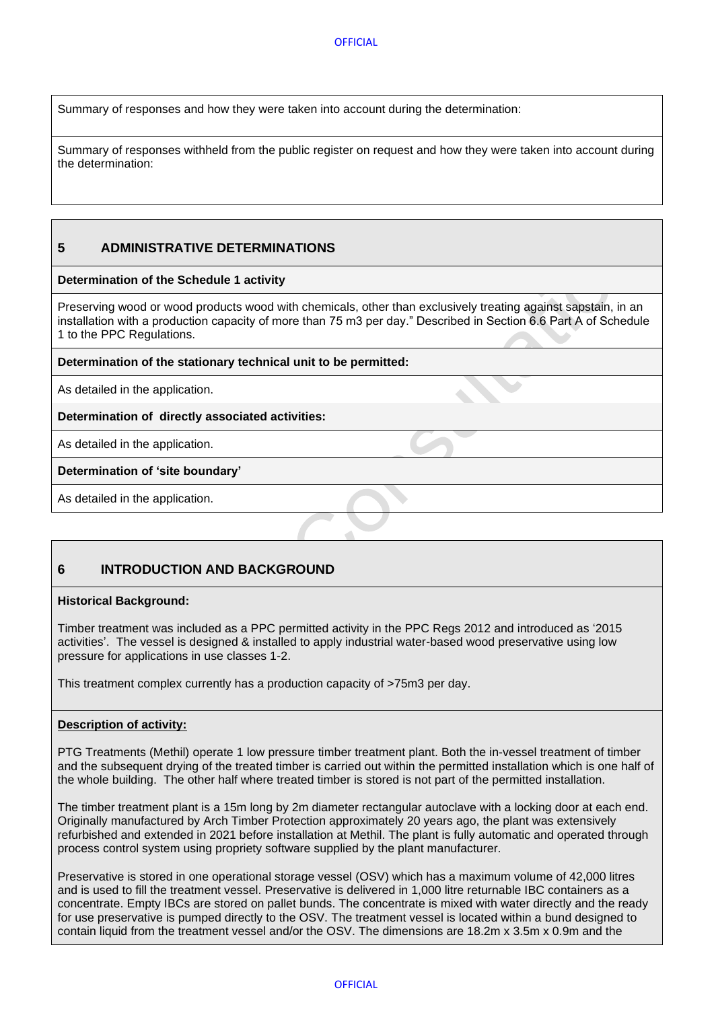Summary of responses and how they were taken into account during the determination:

Summary of responses withheld from the public register on request and how they were taken into account during the determination:

# <span id="page-5-0"></span>**5 ADMINISTRATIVE DETERMINATIONS**

#### **Determination of the Schedule 1 activity**

Preserving wood or wood products wood with chemicals, other than exclusively treating against sapstain, in an installation with a production capacity of more than 75 m3 per day." Described in Section 6.6 Part A of Schedule 1 to the PPC Regulations.

#### **Determination of the stationary technical unit to be permitted:**

As detailed in the application.

#### **Determination of directly associated activities:**

As detailed in the application.

## **Determination of 'site boundary'**

As detailed in the application.

# <span id="page-5-1"></span>**6 INTRODUCTION AND BACKGROUND**

#### **Historical Background:**

Timber treatment was included as a PPC permitted activity in the PPC Regs 2012 and introduced as '2015 activities'. The vessel is designed & installed to apply industrial water-based wood preservative using low pressure for applications in use classes 1-2.

This treatment complex currently has a production capacity of >75m3 per day.

#### **Description of activity:**

PTG Treatments (Methil) operate 1 low pressure timber treatment plant. Both the in-vessel treatment of timber and the subsequent drying of the treated timber is carried out within the permitted installation which is one half of the whole building. The other half where treated timber is stored is not part of the permitted installation.

The timber treatment plant is a 15m long by 2m diameter rectangular autoclave with a locking door at each end. Originally manufactured by Arch Timber Protection approximately 20 years ago, the plant was extensively refurbished and extended in 2021 before installation at Methil. The plant is fully automatic and operated through process control system using propriety software supplied by the plant manufacturer.

Preservative is stored in one operational storage vessel (OSV) which has a maximum volume of 42,000 litres and is used to fill the treatment vessel. Preservative is delivered in 1,000 litre returnable IBC containers as a concentrate. Empty IBCs are stored on pallet bunds. The concentrate is mixed with water directly and the ready for use preservative is pumped directly to the OSV. The treatment vessel is located within a bund designed to contain liquid from the treatment vessel and/or the OSV. The dimensions are 18.2m x 3.5m x 0.9m and the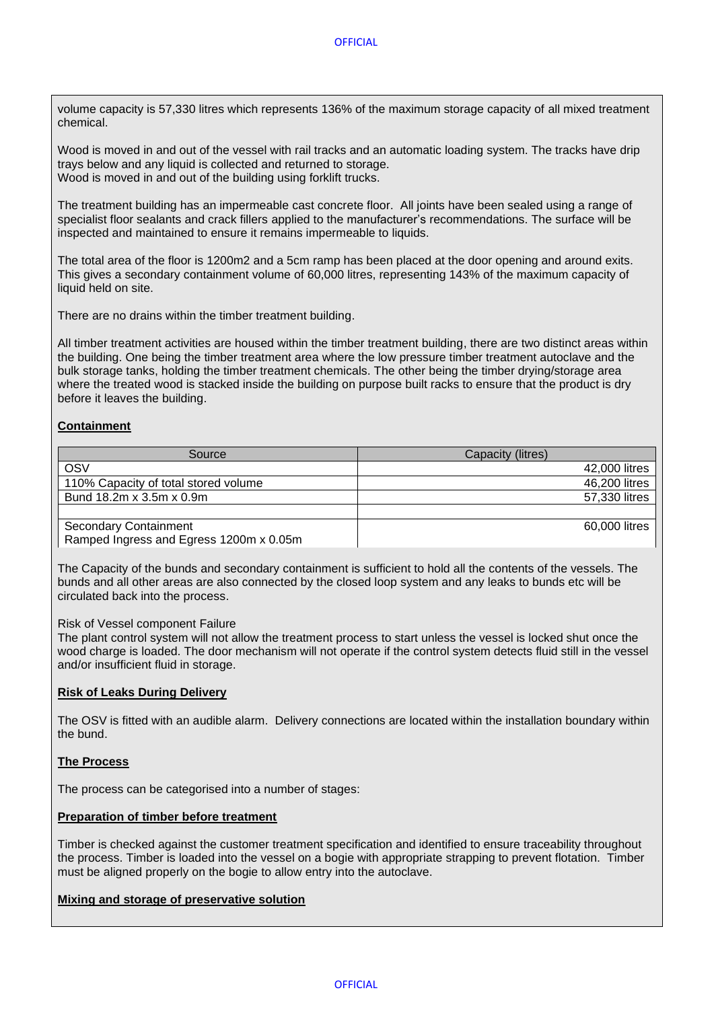volume capacity is 57,330 litres which represents 136% of the maximum storage capacity of all mixed treatment chemical.

Wood is moved in and out of the vessel with rail tracks and an automatic loading system. The tracks have drip trays below and any liquid is collected and returned to storage. Wood is moved in and out of the building using forklift trucks.

The treatment building has an impermeable cast concrete floor. All joints have been sealed using a range of specialist floor sealants and crack fillers applied to the manufacturer's recommendations. The surface will be inspected and maintained to ensure it remains impermeable to liquids.

The total area of the floor is 1200m2 and a 5cm ramp has been placed at the door opening and around exits. This gives a secondary containment volume of 60,000 litres, representing 143% of the maximum capacity of liquid held on site.

There are no drains within the timber treatment building.

All timber treatment activities are housed within the timber treatment building, there are two distinct areas within the building. One being the timber treatment area where the low pressure timber treatment autoclave and the bulk storage tanks, holding the timber treatment chemicals. The other being the timber drying/storage area where the treated wood is stacked inside the building on purpose built racks to ensure that the product is dry before it leaves the building.

## **Containment**

| Source                                  | Capacity (litres) |
|-----------------------------------------|-------------------|
| OSV                                     | 42,000 litres     |
| 110% Capacity of total stored volume    | 46,200 litres     |
| Bund 18.2m x 3.5m x 0.9m                | 57,330 litres     |
|                                         |                   |
| <b>Secondary Containment</b>            | 60,000 litres     |
| Ramped Ingress and Egress 1200m x 0.05m |                   |

The Capacity of the bunds and secondary containment is sufficient to hold all the contents of the vessels. The bunds and all other areas are also connected by the closed loop system and any leaks to bunds etc will be circulated back into the process.

#### Risk of Vessel component Failure

The plant control system will not allow the treatment process to start unless the vessel is locked shut once the wood charge is loaded. The door mechanism will not operate if the control system detects fluid still in the vessel and/or insufficient fluid in storage.

#### **Risk of Leaks During Delivery**

The OSV is fitted with an audible alarm. Delivery connections are located within the installation boundary within the bund.

#### **The Process**

The process can be categorised into a number of stages:

# **Preparation of timber before treatment**

Timber is checked against the customer treatment specification and identified to ensure traceability throughout the process. Timber is loaded into the vessel on a bogie with appropriate strapping to prevent flotation. Timber must be aligned properly on the bogie to allow entry into the autoclave.

# **Mixing and storage of preservative solution**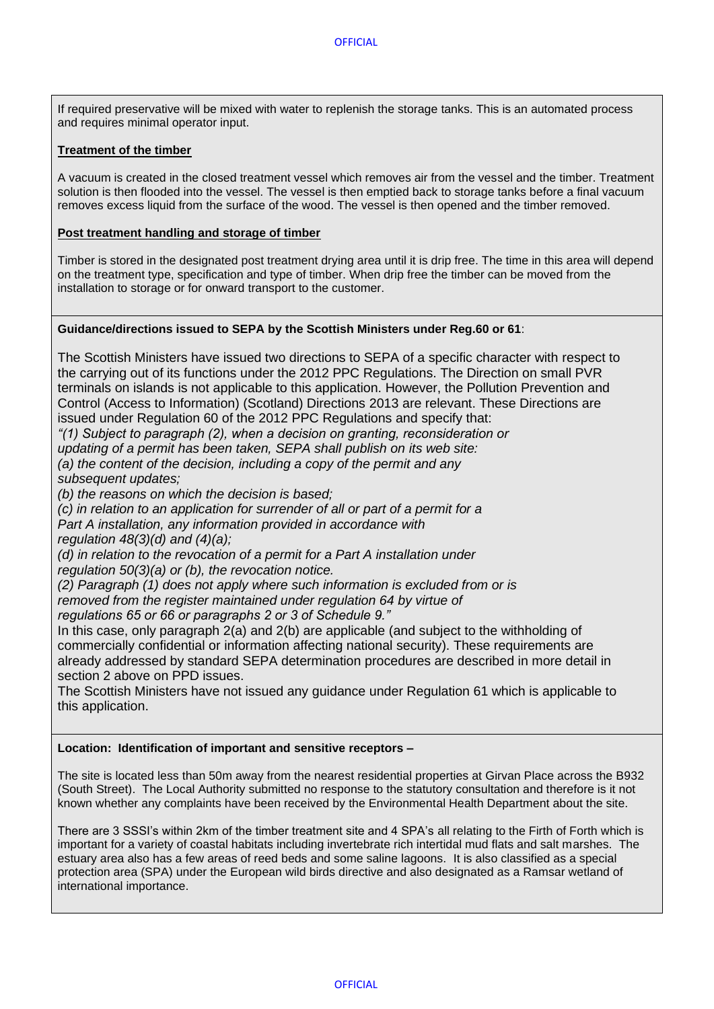If required preservative will be mixed with water to replenish the storage tanks. This is an automated process and requires minimal operator input.

## **Treatment of the timber**

A vacuum is created in the closed treatment vessel which removes air from the vessel and the timber. Treatment solution is then flooded into the vessel. The vessel is then emptied back to storage tanks before a final vacuum removes excess liquid from the surface of the wood. The vessel is then opened and the timber removed.

## **Post treatment handling and storage of timber**

Timber is stored in the designated post treatment drying area until it is drip free. The time in this area will depend on the treatment type, specification and type of timber. When drip free the timber can be moved from the installation to storage or for onward transport to the customer.

## **Guidance/directions issued to SEPA by the Scottish Ministers under Reg.60 or 61**:

The Scottish Ministers have issued two directions to SEPA of a specific character with respect to the carrying out of its functions under the 2012 PPC Regulations. The Direction on small PVR terminals on islands is not applicable to this application. However, the Pollution Prevention and Control (Access to Information) (Scotland) Directions 2013 are relevant. These Directions are issued under Regulation 60 of the 2012 PPC Regulations and specify that:

*"(1) Subject to paragraph (2), when a decision on granting, reconsideration or*

*updating of a permit has been taken, SEPA shall publish on its web site:*

*(a) the content of the decision, including a copy of the permit and any subsequent updates;*

*(b) the reasons on which the decision is based;*

*(c) in relation to an application for surrender of all or part of a permit for a*

*Part A installation, any information provided in accordance with*

*regulation 48(3)(d) and (4)(a);*

*(d) in relation to the revocation of a permit for a Part A installation under regulation 50(3)(a) or (b), the revocation notice.*

*(2) Paragraph (1) does not apply where such information is excluded from or is removed from the register maintained under regulation 64 by virtue of regulations 65 or 66 or paragraphs 2 or 3 of Schedule 9."*

In this case, only paragraph 2(a) and 2(b) are applicable (and subject to the withholding of commercially confidential or information affecting national security). These requirements are already addressed by standard SEPA determination procedures are described in more detail in section 2 above on PPD issues.

The Scottish Ministers have not issued any guidance under Regulation 61 which is applicable to this application.

## **Location: Identification of important and sensitive receptors –**

The site is located less than 50m away from the nearest residential properties at Girvan Place across the B932 (South Street). The Local Authority submitted no response to the statutory consultation and therefore is it not known whether any complaints have been received by the Environmental Health Department about the site.

There are 3 SSSI's within 2km of the timber treatment site and 4 SPA's all relating to the Firth of Forth which is important for a variety of coastal habitats including invertebrate rich intertidal mud flats and salt marshes. The estuary area also has a few areas of reed beds and some saline lagoons. It is also classified as a special protection area (SPA) under the European wild birds directive and also designated as a Ramsar wetland of international importance.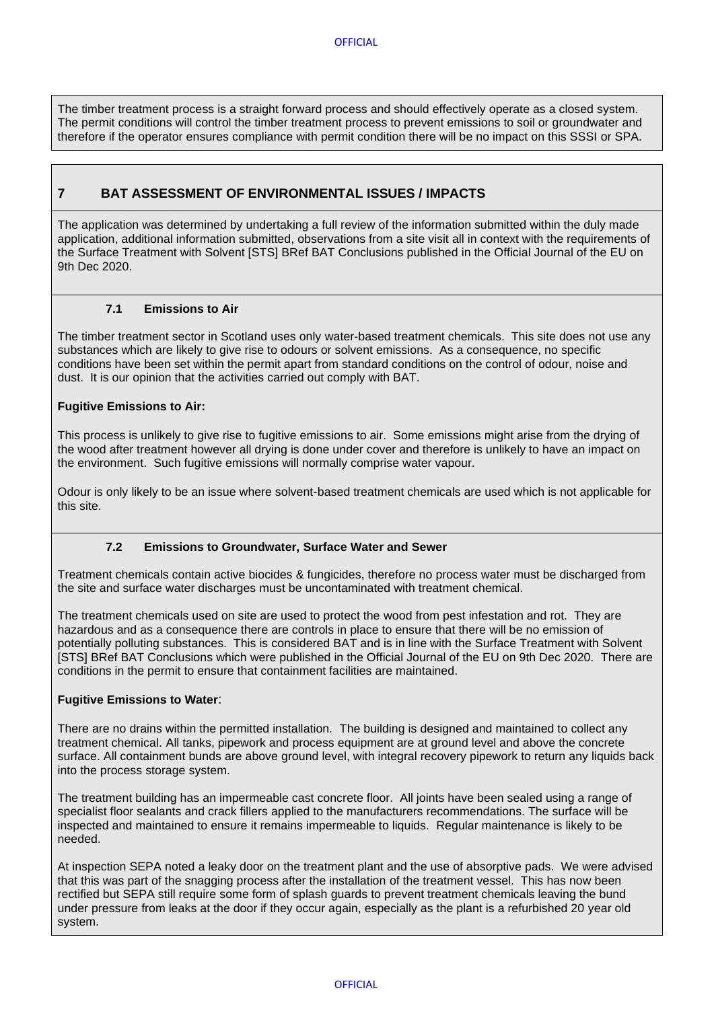The timber treatment process is a straight forward process and should effectively operate as a closed system. The permit conditions will control the timber treatment process to prevent emissions to soil or groundwater and therefore if the operator ensures compliance with permit condition there will be no impact on this SSSI or SPA.

# <span id="page-8-0"></span>**7 BAT ASSESSMENT OF ENVIRONMENTAL ISSUES / IMPACTS**

The application was determined by undertaking a full review of the information submitted within the duly made application, additional information submitted, observations from a site visit all in context with the requirements of the Surface Treatment with Solvent [STS] BRef BAT Conclusions published in the Official Journal of the EU on 9th Dec 2020.

## **7.1 Emissions to Air**

<span id="page-8-1"></span>The timber treatment sector in Scotland uses only water-based treatment chemicals. This site does not use any substances which are likely to give rise to odours or solvent emissions. As a consequence, no specific conditions have been set within the permit apart from standard conditions on the control of odour, noise and dust. It is our opinion that the activities carried out comply with BAT.

## **Fugitive Emissions to Air:**

This process is unlikely to give rise to fugitive emissions to air. Some emissions might arise from the drying of the wood after treatment however all drying is done under cover and therefore is unlikely to have an impact on the environment. Such fugitive emissions will normally comprise water vapour.

Odour is only likely to be an issue where solvent-based treatment chemicals are used which is not applicable for this site.

## **7.2 Emissions to Groundwater, Surface Water and Sewer**

<span id="page-8-2"></span>Treatment chemicals contain active biocides & fungicides, therefore no process water must be discharged from the site and surface water discharges must be uncontaminated with treatment chemical.

The treatment chemicals used on site are used to protect the wood from pest infestation and rot. They are hazardous and as a consequence there are controls in place to ensure that there will be no emission of potentially polluting substances. This is considered BAT and is in line with the Surface Treatment with Solvent [STS] BRef BAT Conclusions which were published in the Official Journal of the EU on 9th Dec 2020. There are conditions in the permit to ensure that containment facilities are maintained.

## **Fugitive Emissions to Water**:

There are no drains within the permitted installation. The building is designed and maintained to collect any treatment chemical. All tanks, pipework and process equipment are at ground level and above the concrete surface. All containment bunds are above ground level, with integral recovery pipework to return any liquids back into the process storage system.

The treatment building has an impermeable cast concrete floor. All joints have been sealed using a range of specialist floor sealants and crack fillers applied to the manufacturers recommendations. The surface will be inspected and maintained to ensure it remains impermeable to liquids. Regular maintenance is likely to be needed.

At inspection SEPA noted a leaky door on the treatment plant and the use of absorptive pads. We were advised that this was part of the snagging process after the installation of the treatment vessel. This has now been rectified but SEPA still require some form of splash guards to prevent treatment chemicals leaving the bund under pressure from leaks at the door if they occur again, especially as the plant is a refurbished 20 year old system.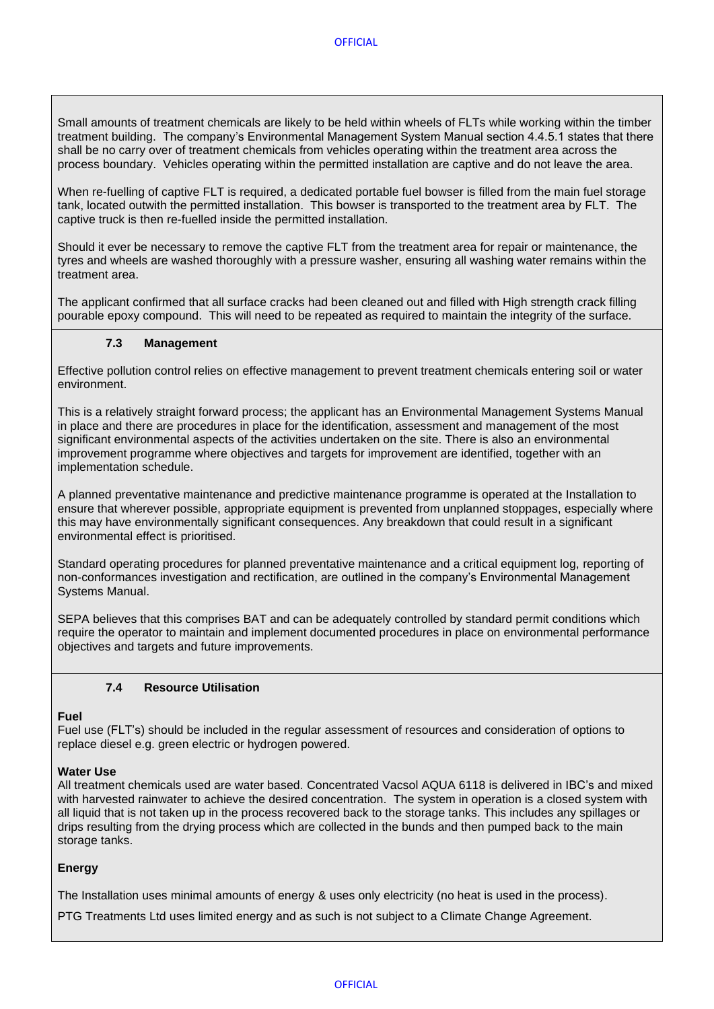Small amounts of treatment chemicals are likely to be held within wheels of FLTs while working within the timber treatment building. The company's Environmental Management System Manual section 4.4.5.1 states that there shall be no carry over of treatment chemicals from vehicles operating within the treatment area across the process boundary. Vehicles operating within the permitted installation are captive and do not leave the area.

When re-fuelling of captive FLT is required, a dedicated portable fuel bowser is filled from the main fuel storage tank, located outwith the permitted installation. This bowser is transported to the treatment area by FLT. The captive truck is then re-fuelled inside the permitted installation.

Should it ever be necessary to remove the captive FLT from the treatment area for repair or maintenance, the tyres and wheels are washed thoroughly with a pressure washer, ensuring all washing water remains within the treatment area.

The applicant confirmed that all surface cracks had been cleaned out and filled with High strength crack filling pourable epoxy compound. This will need to be repeated as required to maintain the integrity of the surface.

## **7.3 Management**

<span id="page-9-0"></span>Effective pollution control relies on effective management to prevent treatment chemicals entering soil or water environment.

This is a relatively straight forward process; the applicant has an Environmental Management Systems Manual in place and there are procedures in place for the identification, assessment and management of the most significant environmental aspects of the activities undertaken on the site. There is also an environmental improvement programme where objectives and targets for improvement are identified, together with an implementation schedule.

A planned preventative maintenance and predictive maintenance programme is operated at the Installation to ensure that wherever possible, appropriate equipment is prevented from unplanned stoppages, especially where this may have environmentally significant consequences. Any breakdown that could result in a significant environmental effect is prioritised.

Standard operating procedures for planned preventative maintenance and a critical equipment log, reporting of non-conformances investigation and rectification, are outlined in the company's Environmental Management Systems Manual.

SEPA believes that this comprises BAT and can be adequately controlled by standard permit conditions which require the operator to maintain and implement documented procedures in place on environmental performance objectives and targets and future improvements.

# **7.4 Resource Utilisation**

## <span id="page-9-1"></span>**Fuel**

Fuel use (FLT's) should be included in the regular assessment of resources and consideration of options to replace diesel e.g. green electric or hydrogen powered.

## **Water Use**

All treatment chemicals used are water based. Concentrated Vacsol AQUA 6118 is delivered in IBC's and mixed with harvested rainwater to achieve the desired concentration. The system in operation is a closed system with all liquid that is not taken up in the process recovered back to the storage tanks. This includes any spillages or drips resulting from the drying process which are collected in the bunds and then pumped back to the main storage tanks.

## **Energy**

The Installation uses minimal amounts of energy & uses only electricity (no heat is used in the process).

PTG Treatments Ltd uses limited energy and as such is not subject to a Climate Change Agreement.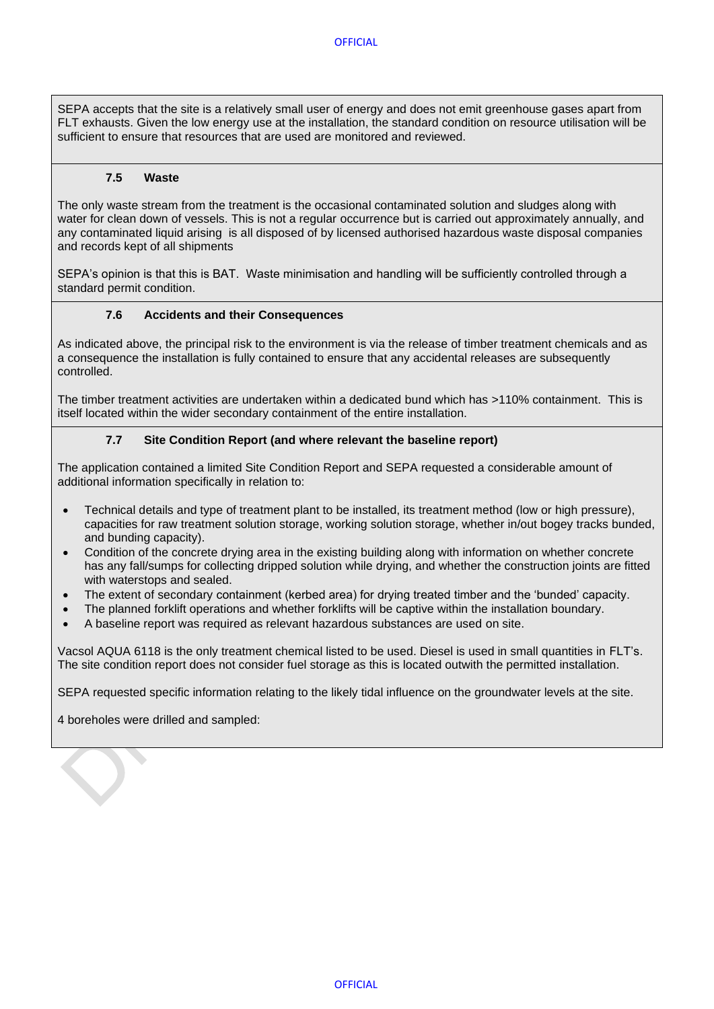SEPA accepts that the site is a relatively small user of energy and does not emit greenhouse gases apart from FLT exhausts. Given the low energy use at the installation, the standard condition on resource utilisation will be sufficient to ensure that resources that are used are monitored and reviewed.

## **7.5 Waste**

<span id="page-10-0"></span>The only waste stream from the treatment is the occasional contaminated solution and sludges along with water for clean down of vessels. This is not a regular occurrence but is carried out approximately annually, and any contaminated liquid arising is all disposed of by licensed authorised hazardous waste disposal companies and records kept of all shipments

SEPA's opinion is that this is BAT. Waste minimisation and handling will be sufficiently controlled through a standard permit condition.

#### **7.6 Accidents and their Consequences**

<span id="page-10-1"></span>As indicated above, the principal risk to the environment is via the release of timber treatment chemicals and as a consequence the installation is fully contained to ensure that any accidental releases are subsequently controlled.

The timber treatment activities are undertaken within a dedicated bund which has >110% containment. This is itself located within the wider secondary containment of the entire installation.

#### **7.7 Site Condition Report (and where relevant the baseline report)**

<span id="page-10-2"></span>The application contained a limited Site Condition Report and SEPA requested a considerable amount of additional information specifically in relation to:

- Technical details and type of treatment plant to be installed, its treatment method (low or high pressure), capacities for raw treatment solution storage, working solution storage, whether in/out bogey tracks bunded, and bunding capacity).
- Condition of the concrete drying area in the existing building along with information on whether concrete has any fall/sumps for collecting dripped solution while drying, and whether the construction joints are fitted with waterstops and sealed.
- The extent of secondary containment (kerbed area) for drying treated timber and the 'bunded' capacity.
- The planned forklift operations and whether forklifts will be captive within the installation boundary.
- A baseline report was required as relevant hazardous substances are used on site.

Vacsol AQUA 6118 is the only treatment chemical listed to be used. Diesel is used in small quantities in FLT's. The site condition report does not consider fuel storage as this is located outwith the permitted installation.

SEPA requested specific information relating to the likely tidal influence on the groundwater levels at the site.

4 boreholes were drilled and sampled: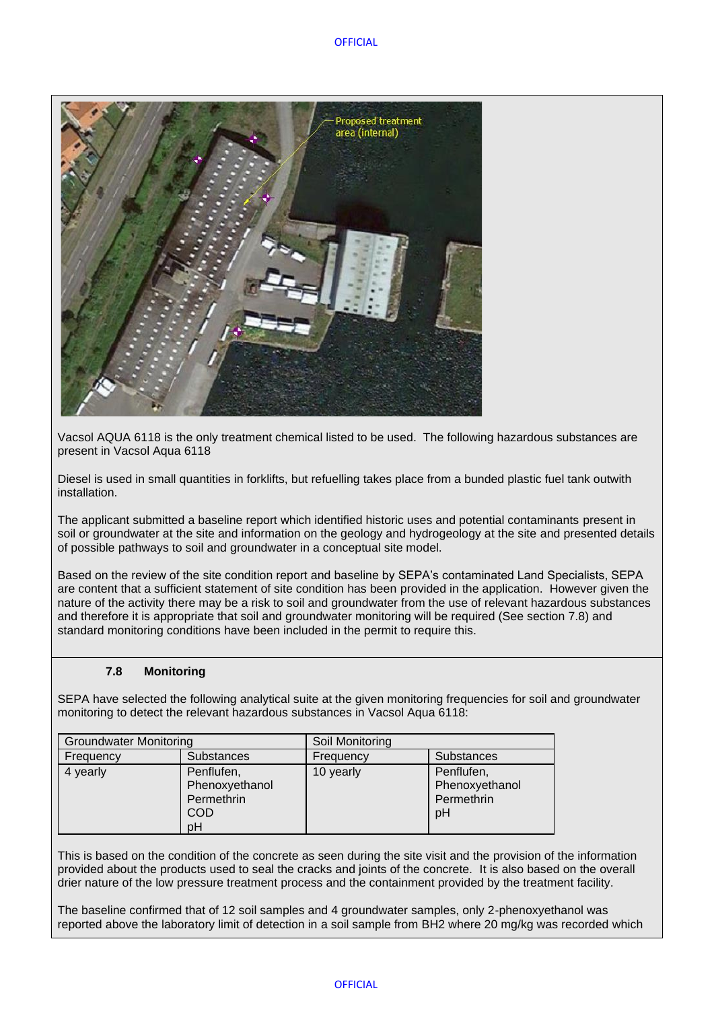

Vacsol AQUA 6118 is the only treatment chemical listed to be used. The following hazardous substances are present in Vacsol Aqua 6118

Diesel is used in small quantities in forklifts, but refuelling takes place from a bunded plastic fuel tank outwith installation.

The applicant submitted a baseline report which identified historic uses and potential contaminants present in soil or groundwater at the site and information on the geology and hydrogeology at the site and presented details of possible pathways to soil and groundwater in a conceptual site model.

Based on the review of the site condition report and baseline by SEPA's contaminated Land Specialists, SEPA are content that a sufficient statement of site condition has been provided in the application. However given the nature of the activity there may be a risk to soil and groundwater from the use of relevant hazardous substances and therefore it is appropriate that soil and groundwater monitoring will be required (See section 7.8) and standard monitoring conditions have been included in the permit to require this.

# **7.8 Monitoring**

<span id="page-11-0"></span>SEPA have selected the following analytical suite at the given monitoring frequencies for soil and groundwater monitoring to detect the relevant hazardous substances in Vacsol Aqua 6118:

| <b>Groundwater Monitoring</b> |                                                                | Soil Monitoring |                                                  |  |
|-------------------------------|----------------------------------------------------------------|-----------------|--------------------------------------------------|--|
| Frequency                     | Substances                                                     | Frequency       | Substances                                       |  |
| 4 yearly                      | Penflufen,<br>Phenoxyethanol<br>Permethrin<br><b>COD</b><br>pH | 10 yearly       | Penflufen,<br>Phenoxyethanol<br>Permethrin<br>pH |  |

This is based on the condition of the concrete as seen during the site visit and the provision of the information provided about the products used to seal the cracks and joints of the concrete. It is also based on the overall drier nature of the low pressure treatment process and the containment provided by the treatment facility.

The baseline confirmed that of 12 soil samples and 4 groundwater samples, only 2-phenoxyethanol was reported above the laboratory limit of detection in a soil sample from BH2 where 20 mg/kg was recorded which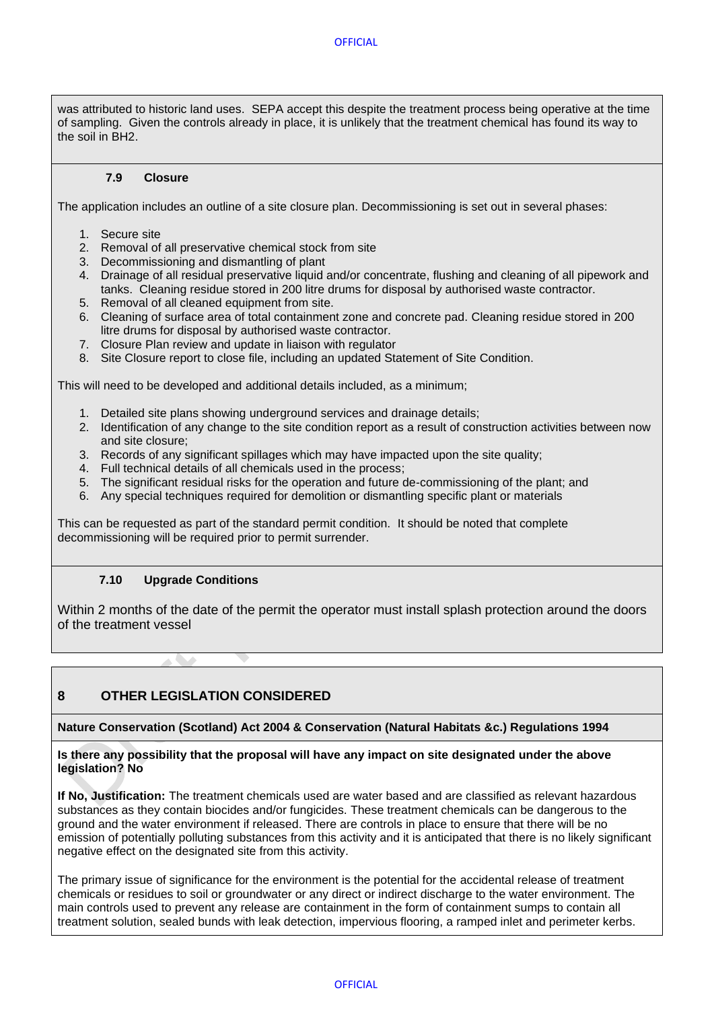was attributed to historic land uses. SEPA accept this despite the treatment process being operative at the time of sampling. Given the controls already in place, it is unlikely that the treatment chemical has found its way to the soil in BH2.

## **7.9 Closure**

<span id="page-12-0"></span>The application includes an outline of a site closure plan. Decommissioning is set out in several phases:

- 1. Secure site
- 2. Removal of all preservative chemical stock from site
- 3. Decommissioning and dismantling of plant
- 4. Drainage of all residual preservative liquid and/or concentrate, flushing and cleaning of all pipework and tanks. Cleaning residue stored in 200 litre drums for disposal by authorised waste contractor.
- 5. Removal of all cleaned equipment from site.
- 6. Cleaning of surface area of total containment zone and concrete pad. Cleaning residue stored in 200 litre drums for disposal by authorised waste contractor.
- 7. Closure Plan review and update in liaison with regulator
- 8. Site Closure report to close file, including an updated Statement of Site Condition.

This will need to be developed and additional details included, as a minimum;

- 1. Detailed site plans showing underground services and drainage details;
- 2. Identification of any change to the site condition report as a result of construction activities between now and site closure;
- 3. Records of any significant spillages which may have impacted upon the site quality;
- 4. Full technical details of all chemicals used in the process;
- 5. The significant residual risks for the operation and future de-commissioning of the plant; and
- 6. Any special techniques required for demolition or dismantling specific plant or materials

This can be requested as part of the standard permit condition. It should be noted that complete decommissioning will be required prior to permit surrender.

## **7.10 Upgrade Conditions**

<span id="page-12-1"></span>Within 2 months of the date of the permit the operator must install splash protection around the doors of the treatment vessel

# <span id="page-12-2"></span>**8 OTHER LEGISLATION CONSIDERED**

#### **Nature Conservation (Scotland) Act 2004 & Conservation (Natural Habitats &c.) Regulations 1994**

#### **Is there any possibility that the proposal will have any impact on site designated under the above legislation? No**

**If No, Justification:** The treatment chemicals used are water based and are classified as relevant hazardous substances as they contain biocides and/or fungicides. These treatment chemicals can be dangerous to the ground and the water environment if released. There are controls in place to ensure that there will be no emission of potentially polluting substances from this activity and it is anticipated that there is no likely significant negative effect on the designated site from this activity.

The primary issue of significance for the environment is the potential for the accidental release of treatment chemicals or residues to soil or groundwater or any direct or indirect discharge to the water environment. The main controls used to prevent any release are containment in the form of containment sumps to contain all treatment solution, sealed bunds with leak detection, impervious flooring, a ramped inlet and perimeter kerbs.